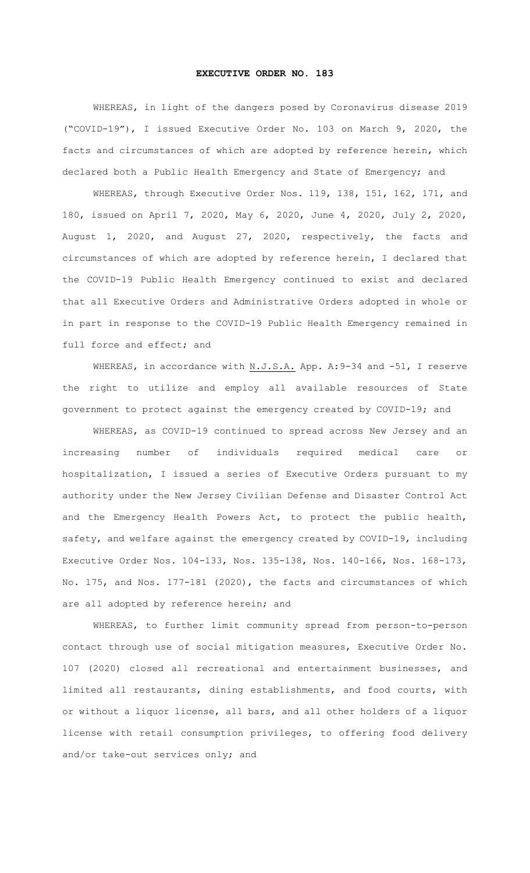## **EXECUTIVE ORDER NO. 183**

WHEREAS, in light of the dangers posed by Coronavirus disease 2019 ("COVID-19"), I issued Executive Order No. 103 on March 9, 2020, the facts and circumstances of which are adopted by reference herein, which declared both a Public Health Emergency and State of Emergency; and

WHEREAS, through Executive Order Nos. 119, 138, 151, 162, 171, and 180, issued on April 7, 2020, May 6, 2020, June 4, 2020, July 2, 2020, August 1, 2020, and August 27, 2020, respectively, the facts and circumstances of which are adopted by reference herein, I declared that the COVID-19 Public Health Emergency continued to exist and declared that all Executive Orders and Administrative Orders adopted in whole or in part in response to the COVID-19 Public Health Emergency remained in full force and effect; and

WHEREAS, in accordance with N.J.S.A. App. A: 9-34 and -51, I reserve the right to utilize and employ all available resources of State government to protect against the emergency created by COVID-19; and

WHEREAS, as COVID-19 continued to spread across New Jersey and an increasing number of individuals required medical care or hospitalization, I issued a series of Executive Orders pursuant to my authority under the New Jersey Civilian Defense and Disaster Control Act and the Emergency Health Powers Act, to protect the public health, safety, and welfare against the emergency created by COVID-19, including Executive Order Nos. 104-133, Nos. 135-138, Nos. 140-166, Nos. 168-173, No. 175, and Nos. 177-181 (2020), the facts and circumstances of which are all adopted by reference herein; and

WHEREAS, to further limit community spread from person-to-person contact through use of social mitigation measures, Executive Order No. 107 (2020) closed all recreational and entertainment businesses, and limited all restaurants, dining establishments, and food courts, with or without a liquor license, all bars, and all other holders of a liquor license with retail consumption privileges, to offering food delivery and/or take-out services only; and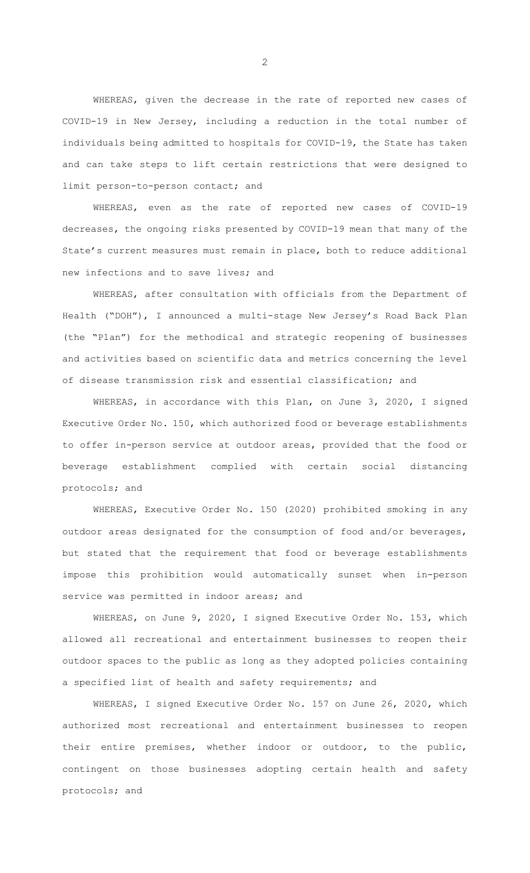WHEREAS, given the decrease in the rate of reported new cases of COVID-19 in New Jersey, including a reduction in the total number of individuals being admitted to hospitals for COVID-19, the State has taken and can take steps to lift certain restrictions that were designed to limit person-to-person contact; and

WHEREAS, even as the rate of reported new cases of COVID-19 decreases, the ongoing risks presented by COVID-19 mean that many of the State's current measures must remain in place, both to reduce additional new infections and to save lives; and

WHEREAS, after consultation with officials from the Department of Health ("DOH"), I announced a multi-stage New Jersey's Road Back Plan (the "Plan") for the methodical and strategic reopening of businesses and activities based on scientific data and metrics concerning the level of disease transmission risk and essential classification; and

WHEREAS, in accordance with this Plan, on June 3, 2020, I signed Executive Order No. 150, which authorized food or beverage establishments to offer in-person service at outdoor areas, provided that the food or beverage establishment complied with certain social distancing protocols; and

WHEREAS, Executive Order No. 150 (2020) prohibited smoking in any outdoor areas designated for the consumption of food and/or beverages, but stated that the requirement that food or beverage establishments impose this prohibition would automatically sunset when in-person service was permitted in indoor areas; and

WHEREAS, on June 9, 2020, I signed Executive Order No. 153, which allowed all recreational and entertainment businesses to reopen their outdoor spaces to the public as long as they adopted policies containing a specified list of health and safety requirements; and

WHEREAS, I signed Executive Order No. 157 on June 26, 2020, which authorized most recreational and entertainment businesses to reopen their entire premises, whether indoor or outdoor, to the public, contingent on those businesses adopting certain health and safety protocols; and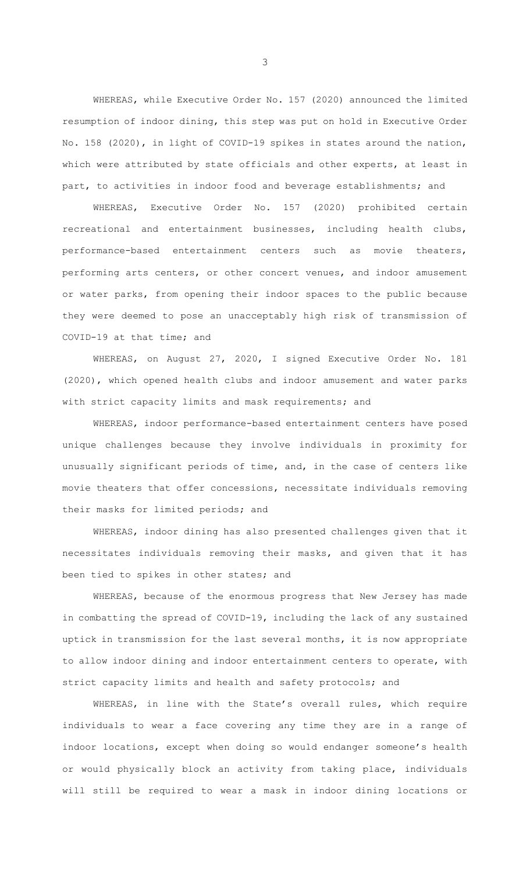WHEREAS, while Executive Order No. 157 (2020) announced the limited resumption of indoor dining, this step was put on hold in Executive Order No. 158 (2020), in light of COVID-19 spikes in states around the nation, which were attributed by state officials and other experts, at least in part, to activities in indoor food and beverage establishments; and

WHEREAS, Executive Order No. 157 (2020) prohibited certain recreational and entertainment businesses, including health clubs, performance-based entertainment centers such as movie theaters, performing arts centers, or other concert venues, and indoor amusement or water parks, from opening their indoor spaces to the public because they were deemed to pose an unacceptably high risk of transmission of COVID-19 at that time; and

WHEREAS, on August 27, 2020, I signed Executive Order No. 181 (2020), which opened health clubs and indoor amusement and water parks with strict capacity limits and mask requirements; and

WHEREAS, indoor performance-based entertainment centers have posed unique challenges because they involve individuals in proximity for unusually significant periods of time, and, in the case of centers like movie theaters that offer concessions, necessitate individuals removing their masks for limited periods; and

WHEREAS, indoor dining has also presented challenges given that it necessitates individuals removing their masks, and given that it has been tied to spikes in other states; and

WHEREAS, because of the enormous progress that New Jersey has made in combatting the spread of COVID-19, including the lack of any sustained uptick in transmission for the last several months, it is now appropriate to allow indoor dining and indoor entertainment centers to operate, with strict capacity limits and health and safety protocols; and

WHEREAS, in line with the State's overall rules, which require individuals to wear a face covering any time they are in a range of indoor locations, except when doing so would endanger someone's health or would physically block an activity from taking place, individuals will still be required to wear a mask in indoor dining locations or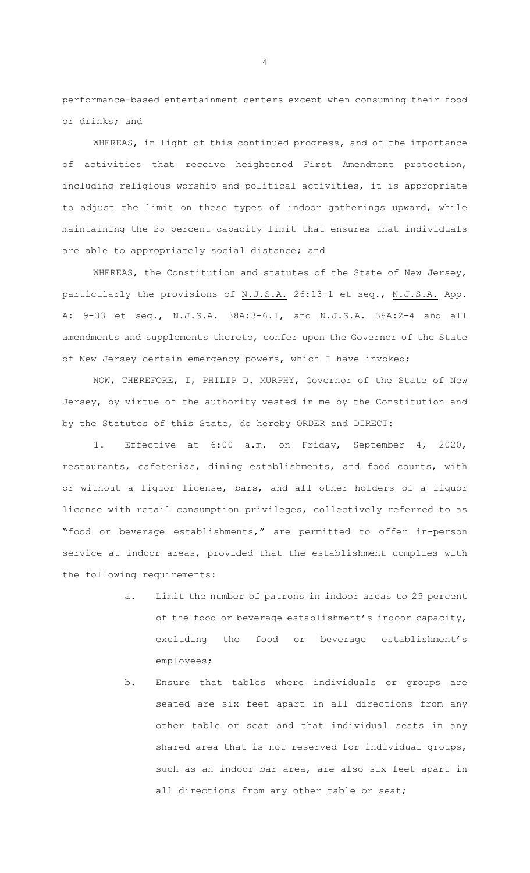performance-based entertainment centers except when consuming their food or drinks; and

WHEREAS, in light of this continued progress, and of the importance of activities that receive heightened First Amendment protection, including religious worship and political activities, it is appropriate to adjust the limit on these types of indoor gatherings upward, while maintaining the 25 percent capacity limit that ensures that individuals are able to appropriately social distance; and

WHEREAS, the Constitution and statutes of the State of New Jersey, particularly the provisions of N.J.S.A. 26:13-1 et seq., N.J.S.A. App. A: 9-33 et seq., N.J.S.A. 38A:3-6.1, and N.J.S.A. 38A:2-4 and all amendments and supplements thereto, confer upon the Governor of the State of New Jersey certain emergency powers, which I have invoked;

NOW, THEREFORE, I, PHILIP D. MURPHY, Governor of the State of New Jersey, by virtue of the authority vested in me by the Constitution and by the Statutes of this State, do hereby ORDER and DIRECT:

1. Effective at 6:00 a.m. on Friday, September 4, 2020, restaurants, cafeterias, dining establishments, and food courts, with or without a liquor license, bars, and all other holders of a liquor license with retail consumption privileges, collectively referred to as "food or beverage establishments," are permitted to offer in-person service at indoor areas, provided that the establishment complies with the following requirements:

- a. Limit the number of patrons in indoor areas to 25 percent of the food or beverage establishment's indoor capacity, excluding the food or beverage establishment's employees;
- b. Ensure that tables where individuals or groups are seated are six feet apart in all directions from any other table or seat and that individual seats in any shared area that is not reserved for individual groups, such as an indoor bar area, are also six feet apart in all directions from any other table or seat;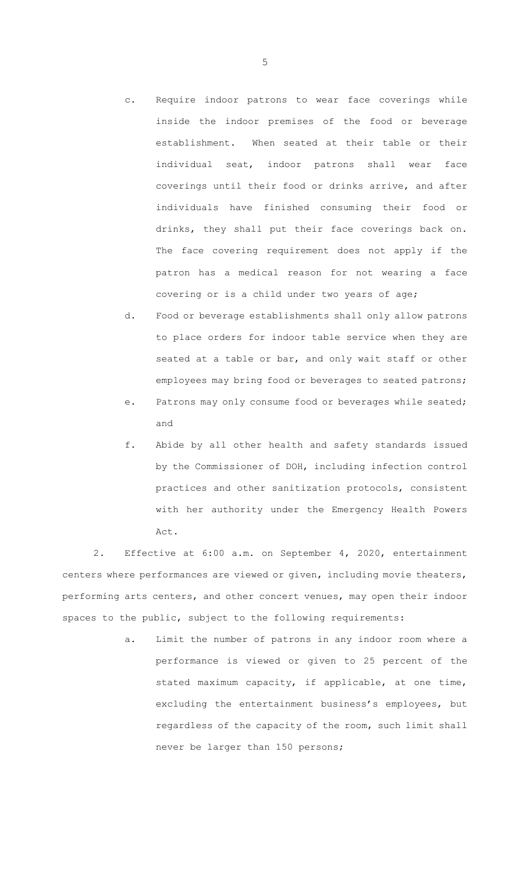- c. Require indoor patrons to wear face coverings while inside the indoor premises of the food or beverage establishment. When seated at their table or their individual seat, indoor patrons shall wear face coverings until their food or drinks arrive, and after individuals have finished consuming their food or drinks, they shall put their face coverings back on. The face covering requirement does not apply if the patron has a medical reason for not wearing a face covering or is a child under two years of age;
- d. Food or beverage establishments shall only allow patrons to place orders for indoor table service when they are seated at a table or bar, and only wait staff or other employees may bring food or beverages to seated patrons;
- e. Patrons may only consume food or beverages while seated; and
- f. Abide by all other health and safety standards issued by the Commissioner of DOH, including infection control practices and other sanitization protocols, consistent with her authority under the Emergency Health Powers Act.

2. Effective at 6:00 a.m. on September 4, 2020, entertainment centers where performances are viewed or given, including movie theaters, performing arts centers, and other concert venues, may open their indoor spaces to the public, subject to the following requirements:

> a. Limit the number of patrons in any indoor room where a performance is viewed or given to 25 percent of the stated maximum capacity, if applicable, at one time, excluding the entertainment business's employees, but regardless of the capacity of the room, such limit shall never be larger than 150 persons;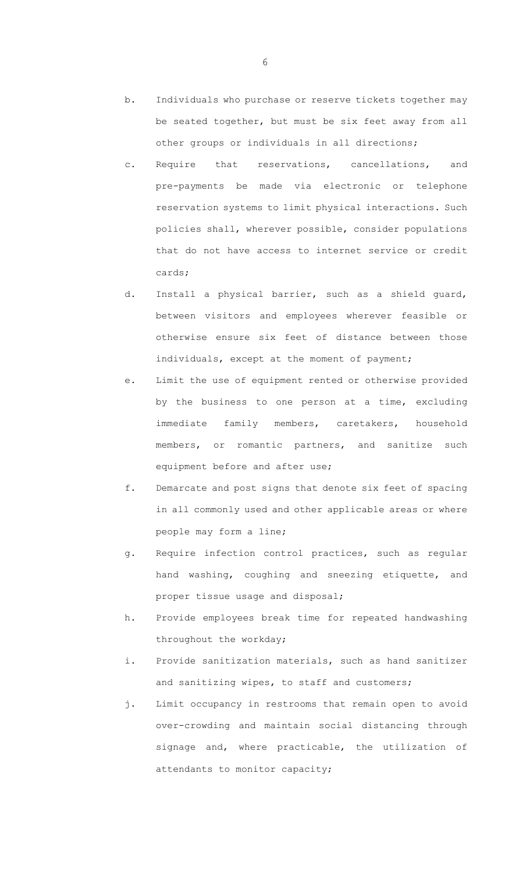- b. Individuals who purchase or reserve tickets together may be seated together, but must be six feet away from all other groups or individuals in all directions;
- c. Require that reservations, cancellations, and pre-payments be made via electronic or telephone reservation systems to limit physical interactions. Such policies shall, wherever possible, consider populations that do not have access to internet service or credit cards;
- d. Install a physical barrier, such as a shield guard, between visitors and employees wherever feasible or otherwise ensure six feet of distance between those individuals, except at the moment of payment;
- e. Limit the use of equipment rented or otherwise provided by the business to one person at a time, excluding immediate family members, caretakers, household members, or romantic partners, and sanitize such equipment before and after use;
- f. Demarcate and post signs that denote six feet of spacing in all commonly used and other applicable areas or where people may form a line;
- g. Require infection control practices, such as regular hand washing, coughing and sneezing etiquette, and proper tissue usage and disposal;
- h. Provide employees break time for repeated handwashing throughout the workday;
- i. Provide sanitization materials, such as hand sanitizer and sanitizing wipes, to staff and customers;
- j. Limit occupancy in restrooms that remain open to avoid over-crowding and maintain social distancing through signage and, where practicable, the utilization of attendants to monitor capacity;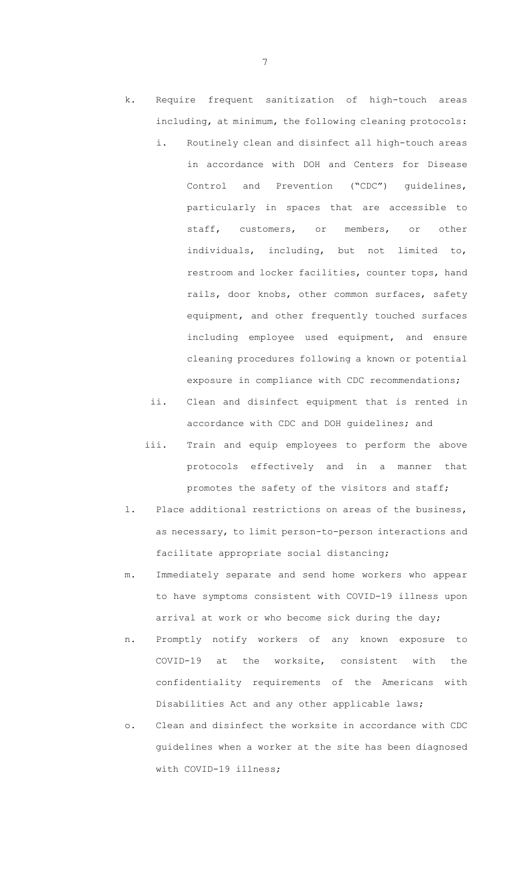- k. Require frequent sanitization of high-touch areas including, at minimum, the following cleaning protocols:
	- i. Routinely clean and disinfect all high-touch areas in accordance with DOH and Centers for Disease Control and Prevention ("CDC") guidelines, particularly in spaces that are accessible to staff, customers, or members, or other individuals, including, but not limited to, restroom and locker facilities, counter tops, hand rails, door knobs, other common surfaces, safety equipment, and other frequently touched surfaces including employee used equipment, and ensure cleaning procedures following a known or potential exposure in compliance with CDC recommendations;
	- ii. Clean and disinfect equipment that is rented in accordance with CDC and DOH guidelines; and
	- iii. Train and equip employees to perform the above protocols effectively and in a manner that promotes the safety of the visitors and staff;
- l. Place additional restrictions on areas of the business, as necessary, to limit person-to-person interactions and facilitate appropriate social distancing;
- m. Immediately separate and send home workers who appear to have symptoms consistent with COVID-19 illness upon arrival at work or who become sick during the day;
- n. Promptly notify workers of any known exposure to COVID-19 at the worksite, consistent with the confidentiality requirements of the Americans with Disabilities Act and any other applicable laws;
- o. Clean and disinfect the worksite in accordance with CDC guidelines when a worker at the site has been diagnosed with COVID-19 illness;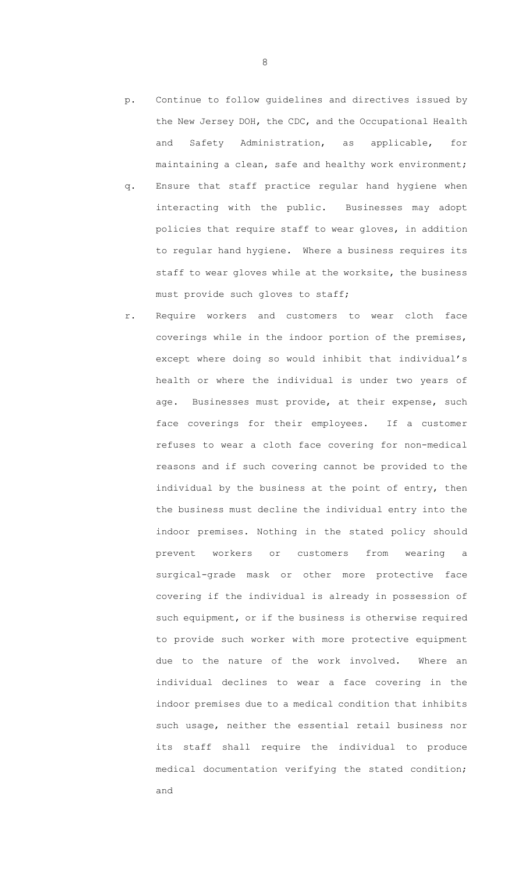- p. Continue to follow guidelines and directives issued by the New Jersey DOH, the CDC, and the Occupational Health and Safety Administration, as applicable, for maintaining a clean, safe and healthy work environment;
- q. Ensure that staff practice regular hand hygiene when interacting with the public. Businesses may adopt policies that require staff to wear gloves, in addition to regular hand hygiene. Where a business requires its staff to wear gloves while at the worksite, the business must provide such gloves to staff;
- r. Require workers and customers to wear cloth face coverings while in the indoor portion of the premises, except where doing so would inhibit that individual's health or where the individual is under two years of age. Businesses must provide, at their expense, such face coverings for their employees. If a customer refuses to wear a cloth face covering for non-medical reasons and if such covering cannot be provided to the individual by the business at the point of entry, then the business must decline the individual entry into the indoor premises. Nothing in the stated policy should prevent workers or customers from wearing a surgical-grade mask or other more protective face covering if the individual is already in possession of such equipment, or if the business is otherwise required to provide such worker with more protective equipment due to the nature of the work involved. Where an individual declines to wear a face covering in the indoor premises due to a medical condition that inhibits such usage, neither the essential retail business nor its staff shall require the individual to produce medical documentation verifying the stated condition; and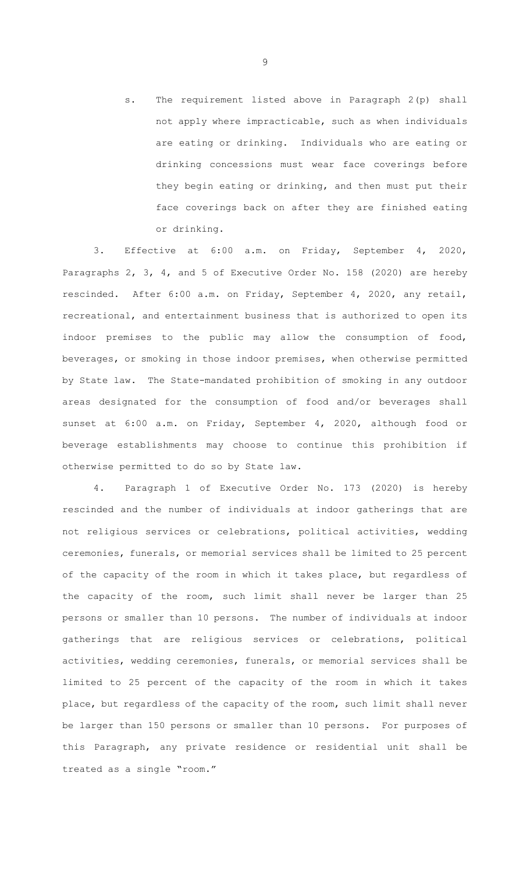s. The requirement listed above in Paragraph 2(p) shall not apply where impracticable, such as when individuals are eating or drinking. Individuals who are eating or drinking concessions must wear face coverings before they begin eating or drinking, and then must put their face coverings back on after they are finished eating or drinking.

3. Effective at 6:00 a.m. on Friday, September 4, 2020, Paragraphs 2, 3, 4, and 5 of Executive Order No. 158 (2020) are hereby rescinded. After 6:00 a.m. on Friday, September 4, 2020, any retail, recreational, and entertainment business that is authorized to open its indoor premises to the public may allow the consumption of food, beverages, or smoking in those indoor premises, when otherwise permitted by State law. The State-mandated prohibition of smoking in any outdoor areas designated for the consumption of food and/or beverages shall sunset at 6:00 a.m. on Friday, September 4, 2020, although food or beverage establishments may choose to continue this prohibition if otherwise permitted to do so by State law.

4. Paragraph 1 of Executive Order No. 173 (2020) is hereby rescinded and the number of individuals at indoor gatherings that are not religious services or celebrations, political activities, wedding ceremonies, funerals, or memorial services shall be limited to 25 percent of the capacity of the room in which it takes place, but regardless of the capacity of the room, such limit shall never be larger than 25 persons or smaller than 10 persons. The number of individuals at indoor gatherings that are religious services or celebrations, political activities, wedding ceremonies, funerals, or memorial services shall be limited to 25 percent of the capacity of the room in which it takes place, but regardless of the capacity of the room, such limit shall never be larger than 150 persons or smaller than 10 persons. For purposes of this Paragraph, any private residence or residential unit shall be treated as a single "room."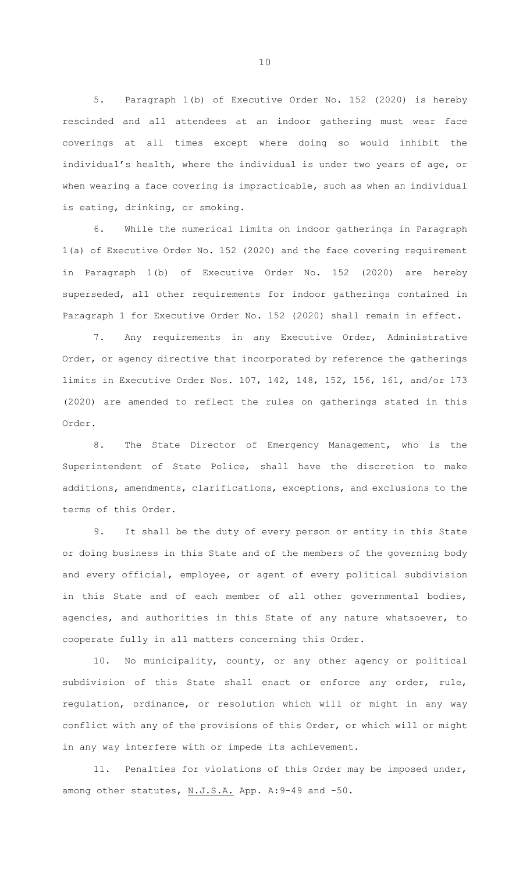5. Paragraph 1(b) of Executive Order No. 152 (2020) is hereby rescinded and all attendees at an indoor gathering must wear face coverings at all times except where doing so would inhibit the individual's health, where the individual is under two years of age, or when wearing a face covering is impracticable, such as when an individual is eating, drinking, or smoking.

6. While the numerical limits on indoor gatherings in Paragraph 1(a) of Executive Order No. 152 (2020) and the face covering requirement in Paragraph 1(b) of Executive Order No. 152 (2020) are hereby superseded, all other requirements for indoor gatherings contained in Paragraph 1 for Executive Order No. 152 (2020) shall remain in effect.

7. Any requirements in any Executive Order, Administrative Order, or agency directive that incorporated by reference the gatherings limits in Executive Order Nos. 107, 142, 148, 152, 156, 161, and/or 173 (2020) are amended to reflect the rules on gatherings stated in this Order.

8. The State Director of Emergency Management, who is the Superintendent of State Police, shall have the discretion to make additions, amendments, clarifications, exceptions, and exclusions to the terms of this Order.

9. It shall be the duty of every person or entity in this State or doing business in this State and of the members of the governing body and every official, employee, or agent of every political subdivision in this State and of each member of all other governmental bodies, agencies, and authorities in this State of any nature whatsoever, to cooperate fully in all matters concerning this Order.

10. No municipality, county, or any other agency or political subdivision of this State shall enact or enforce any order, rule, regulation, ordinance, or resolution which will or might in any way conflict with any of the provisions of this Order, or which will or might in any way interfere with or impede its achievement.

11. Penalties for violations of this Order may be imposed under, among other statutes, N.J.S.A. App. A: 9-49 and -50.